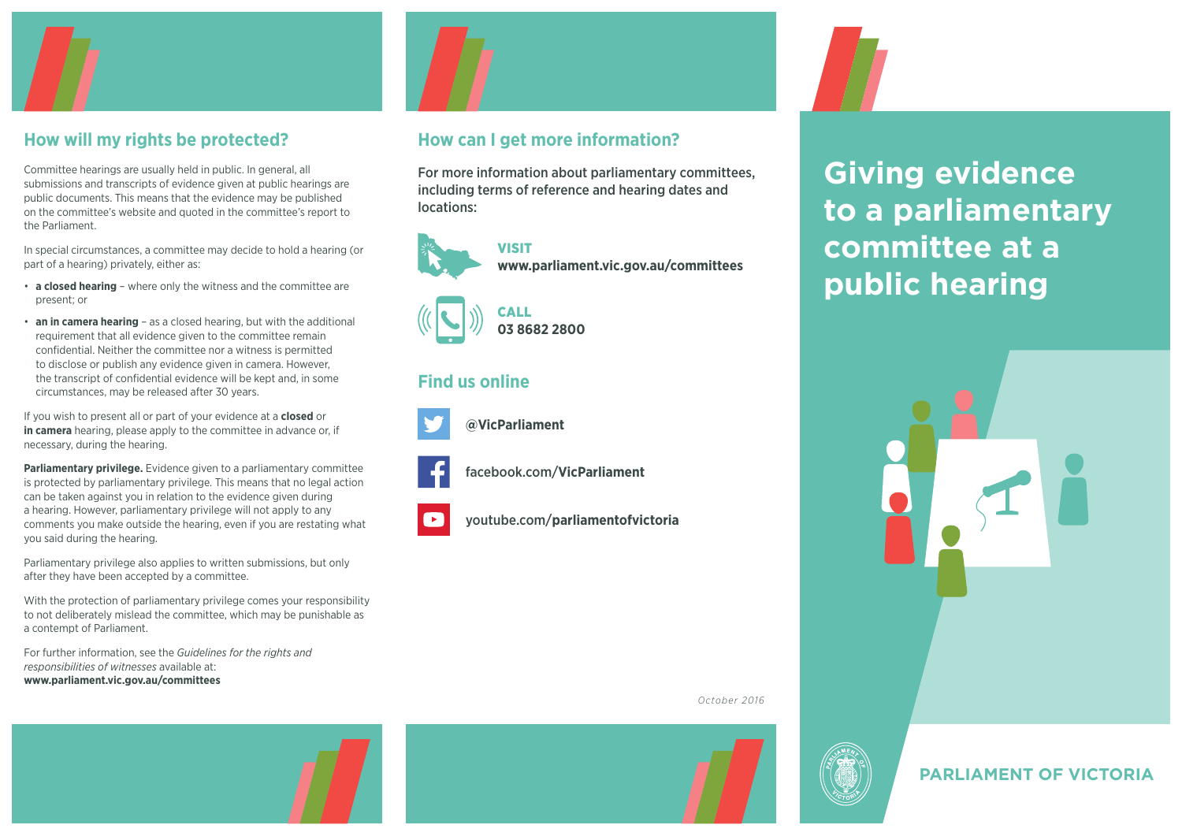

#### **How will my rights be protected?**

Committee hearings are usually held in public. In general, all submissions and transcripts of evidence given at public hearings are public documents. This means that the evidence may be published on the committee's website and quoted in the committee's report to the Parliament.

In special circumstances, a committee may decide to hold a hearing (or part of a hearing) privately, either as:

- **a closed hearing** where only the witness and the committee are present; or
- **an in camera hearing** as a closed hearing, but with the additional requirement that all evidence given to the committee remain confidential. Neither the committee nor a witness is permitted to disclose or publish any evidence given in camera. However, the transcript of confidential evidence will be kept and, in some circumstances, may be released after 30 years.

If you wish to present all or part of your evidence at a **closed** or **in camera** hearing, please apply to the committee in advance or, if necessary, during the hearing.

**Parliamentary privilege.** Evidence given to a parliamentary committee is protected by parliamentary privilege. This means that no legal action can be taken against you in relation to the evidence given during a hearing. However, parliamentary privilege will not apply to any comments you make outside the hearing, even if you are restating what you said during the hearing.

Parliamentary privilege also applies to written submissions, but only after they have been accepted by a committee.

With the protection of parliamentary privilege comes your responsibility to not deliberately mislead the committee, which may be punishable as a contempt of Parliament.

For further information, see the *Guidelines for the rights and responsibilities of witnesses* available at: **[www.parliament.vic.gov.au/committees](http://www.parliament.vic.gov.au/committees)**



#### **How can I get more information?**

For more information about parliamentary committees, including terms of reference and hearing dates and locations:



VISIT **[www.parliament.vic.gov.au/committees](http://www.parliament.vic.gov.au/committees)**



# **03 8682 2800**

#### **Find us online**



**[@VicParliament](https://twitter.com/VicParliament)**



[facebook.com/](https://www.facebook.com/VicParliament/)**VicParliament**

youtube.com/**[parliamentofvictoria](https://www.youtube.com/user/parliamentofvictoria)**



**Giving evidence to a parliamentary committee at a public hearing**





*October 2016*